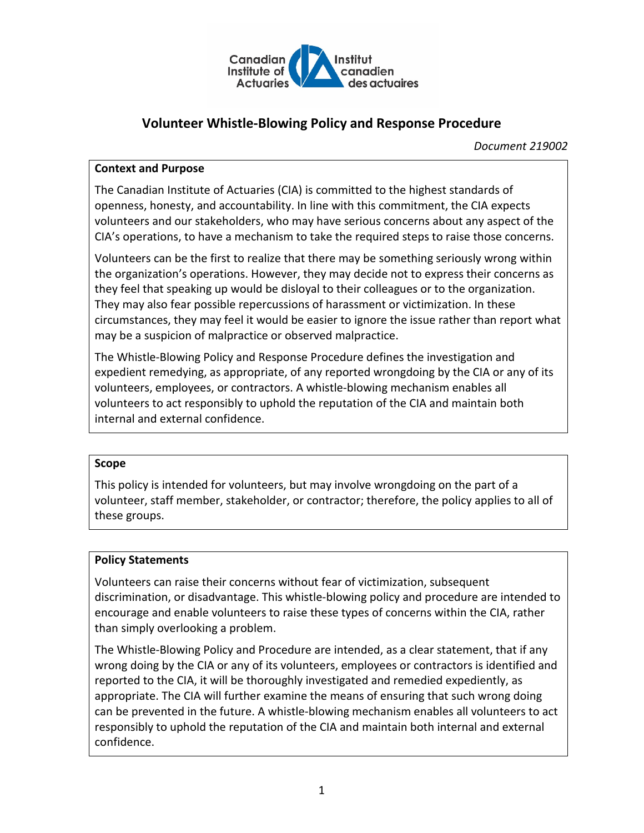

# **Volunteer Whistle-Blowing Policy and Response Procedure**

*Document 219002*

#### **Context and Purpose**

The Canadian Institute of Actuaries (CIA) is committed to the highest standards of openness, honesty, and accountability. In line with this commitment, the CIA expects volunteers and our stakeholders, who may have serious concerns about any aspect of the CIA's operations, to have a mechanism to take the required steps to raise those concerns.

Volunteers can be the first to realize that there may be something seriously wrong within the organization's operations. However, they may decide not to express their concerns as they feel that speaking up would be disloyal to their colleagues or to the organization. They may also fear possible repercussions of harassment or victimization. In these circumstances, they may feel it would be easier to ignore the issue rather than report what may be a suspicion of malpractice or observed malpractice.

The Whistle-Blowing Policy and Response Procedure defines the investigation and expedient remedying, as appropriate, of any reported wrongdoing by the CIA or any of its volunteers, employees, or contractors. A whistle-blowing mechanism enables all volunteers to act responsibly to uphold the reputation of the CIA and maintain both internal and external confidence.

#### **Scope**

This policy is intended for volunteers, but may involve wrongdoing on the part of a volunteer, staff member, stakeholder, or contractor; therefore, the policy applies to all of these groups.

#### **Policy Statements**

Volunteers can raise their concerns without fear of victimization, subsequent discrimination, or disadvantage. This whistle-blowing policy and procedure are intended to encourage and enable volunteers to raise these types of concerns within the CIA, rather than simply overlooking a problem.

The Whistle-Blowing Policy and Procedure are intended, as a clear statement, that if any wrong doing by the CIA or any of its volunteers, employees or contractors is identified and reported to the CIA, it will be thoroughly investigated and remedied expediently, as appropriate. The CIA will further examine the means of ensuring that such wrong doing can be prevented in the future. A whistle-blowing mechanism enables all volunteers to act responsibly to uphold the reputation of the CIA and maintain both internal and external confidence.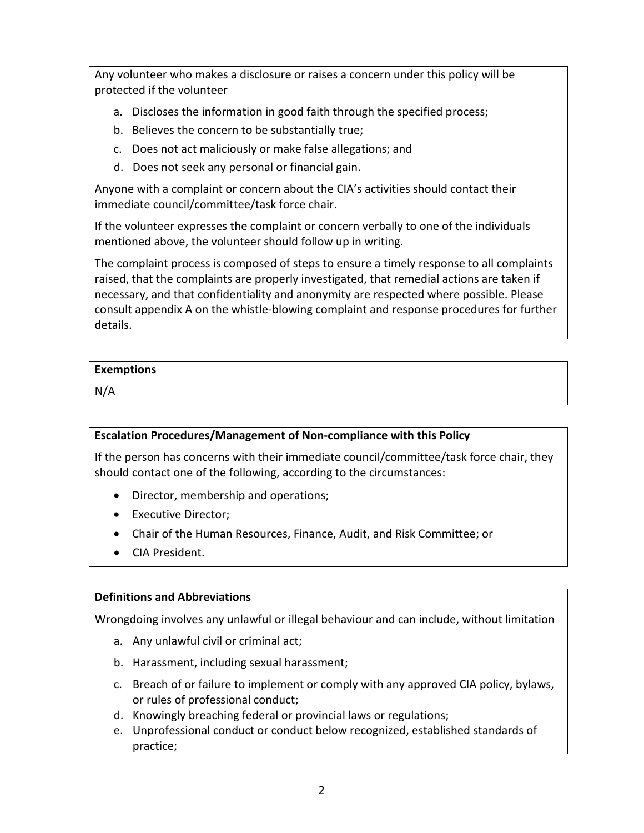Any volunteer who makes a disclosure or raises a concern under this policy will be protected if the volunteer

- a. Discloses the information in good faith through the specified process;
- b. Believes the concern to be substantially true;
- c. Does not act maliciously or make false allegations; and
- d. Does not seek any personal or financial gain.

Anyone with a complaint or concern about the CIA's activities should contact their immediate council/committee/task force chair.

If the volunteer expresses the complaint or concern verbally to one of the individuals mentioned above, the volunteer should follow up in writing.

The complaint process is composed of steps to ensure a timely response to all complaints raised, that the complaints are properly investigated, that remedial actions are taken if necessary, and that confidentiality and anonymity are respected where possible. Please consult appendix A on the whistle-blowing complaint and response procedures for further details.

### **Exemptions**

N/A

### **Escalation Procedures/Management of Non-compliance with this Policy**

If the person has concerns with their immediate council/committee/task force chair, they should contact one of the following, according to the circumstances:

- Director, membership and operations;
- Executive Director;
- Chair of the Human Resources, Finance, Audit, and Risk Committee; or
- CIA President.

### **Definitions and Abbreviations**

Wrongdoing involves any unlawful or illegal behaviour and can include, without limitation

- a. Any unlawful civil or criminal act;
- b. Harassment, including sexual harassment;
- c. Breach of or failure to implement or comply with any approved CIA policy, bylaws, or rules of professional conduct;
- d. Knowingly breaching federal or provincial laws or regulations;
- e. Unprofessional conduct or conduct below recognized, established standards of practice;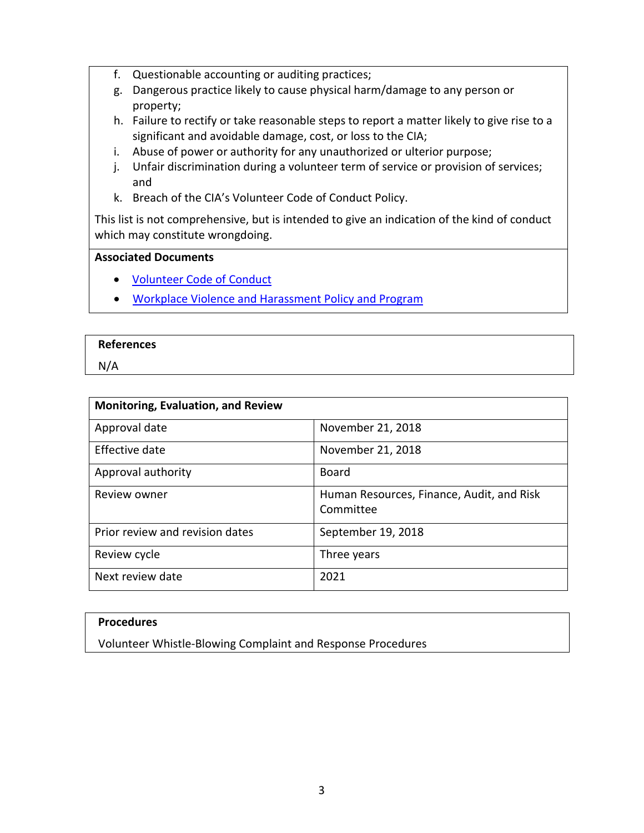- f. Questionable accounting or auditing practices;
- g. Dangerous practice likely to cause physical harm/damage to any person or property;
- h. Failure to rectify or take reasonable steps to report a matter likely to give rise to a significant and avoidable damage, cost, or loss to the CIA;
- i. Abuse of power or authority for any unauthorized or ulterior purpose;
- j. Unfair discrimination during a volunteer term of service or provision of services; and
- k. Breach of the CIA's Volunteer Code of Conduct Policy.

This list is not comprehensive, but is intended to give an indication of the kind of conduct which may constitute wrongdoing.

#### **Associated Documents**

- [Volunteer Code of Conduct](http://www.cia-ica.ca/docs/default-source/2019/219026e.pdf)
- [Workplace Violence and Harassment Policy and Program](http://www.cia-ica.ca/docs/default-source/2019/219001e.pdf)

#### **References**

N/A

| <b>Monitoring, Evaluation, and Review</b> |                                                        |
|-------------------------------------------|--------------------------------------------------------|
| Approval date                             | November 21, 2018                                      |
| Effective date                            | November 21, 2018                                      |
| Approval authority                        | Board                                                  |
| Review owner                              | Human Resources, Finance, Audit, and Risk<br>Committee |
| Prior review and revision dates           | September 19, 2018                                     |
| Review cycle                              | Three years                                            |
| Next review date                          | 2021                                                   |

#### **Procedures**

Volunteer Whistle-Blowing Complaint and Response Procedures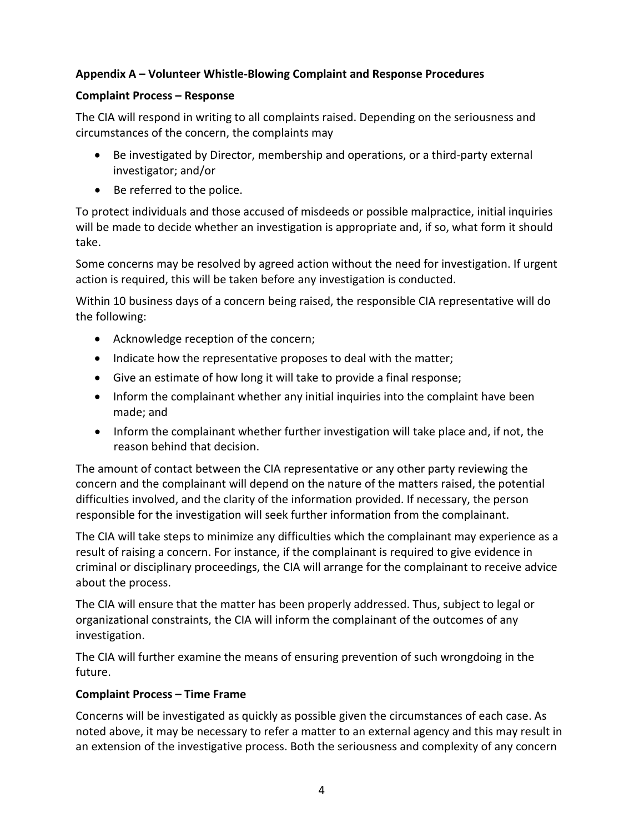## **Appendix A – Volunteer Whistle-Blowing Complaint and Response Procedures**

## **Complaint Process – Response**

The CIA will respond in writing to all complaints raised. Depending on the seriousness and circumstances of the concern, the complaints may

- Be investigated by Director, membership and operations, or a third-party external investigator; and/or
- Be referred to the police.

To protect individuals and those accused of misdeeds or possible malpractice, initial inquiries will be made to decide whether an investigation is appropriate and, if so, what form it should take.

Some concerns may be resolved by agreed action without the need for investigation. If urgent action is required, this will be taken before any investigation is conducted.

Within 10 business days of a concern being raised, the responsible CIA representative will do the following:

- Acknowledge reception of the concern;
- Indicate how the representative proposes to deal with the matter;
- Give an estimate of how long it will take to provide a final response;
- Inform the complainant whether any initial inquiries into the complaint have been made; and
- Inform the complainant whether further investigation will take place and, if not, the reason behind that decision.

The amount of contact between the CIA representative or any other party reviewing the concern and the complainant will depend on the nature of the matters raised, the potential difficulties involved, and the clarity of the information provided. If necessary, the person responsible for the investigation will seek further information from the complainant.

The CIA will take steps to minimize any difficulties which the complainant may experience as a result of raising a concern. For instance, if the complainant is required to give evidence in criminal or disciplinary proceedings, the CIA will arrange for the complainant to receive advice about the process.

The CIA will ensure that the matter has been properly addressed. Thus, subject to legal or organizational constraints, the CIA will inform the complainant of the outcomes of any investigation.

The CIA will further examine the means of ensuring prevention of such wrongdoing in the future.

### **Complaint Process – Time Frame**

Concerns will be investigated as quickly as possible given the circumstances of each case. As noted above, it may be necessary to refer a matter to an external agency and this may result in an extension of the investigative process. Both the seriousness and complexity of any concern